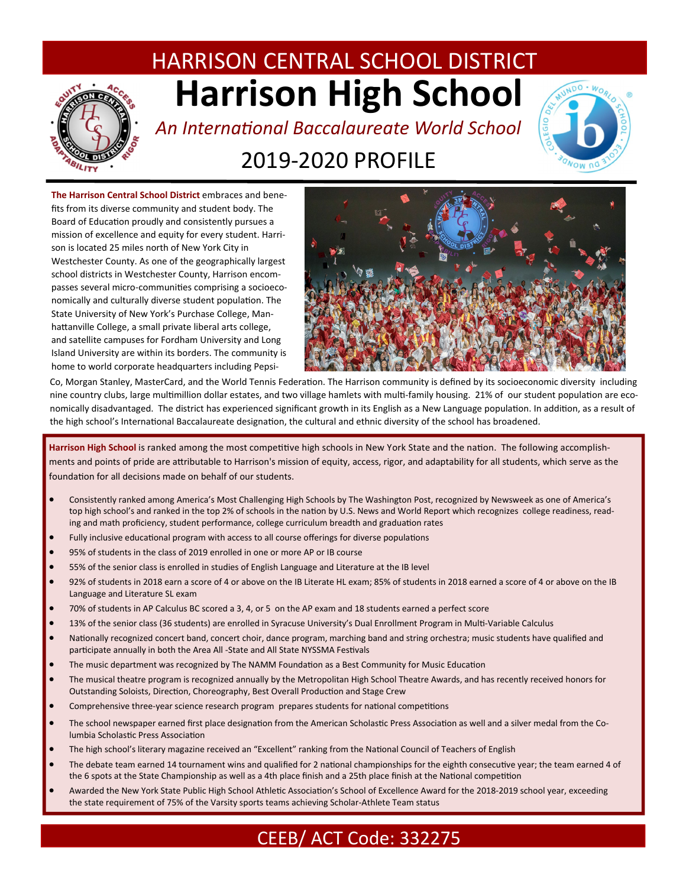# HARRISON CENTRAL SCHOOL DISTRICT **Harrison High School**



# *An InternaƟonal Baccalaureate World School*  2019‐2020 PROFILE



**The Harrison Central School District** embraces and bene‐ fits from its diverse community and student body. The Board of Education proudly and consistently pursues a mission of excellence and equity for every student. Harri‐ son is located 25 miles north of New York City in Westchester County. As one of the geographically largest school districts in Westchester County, Harrison encom‐ passes several micro-communities comprising a socioeconomically and culturally diverse student population. The State University of New York's Purchase College, Man‐ hattanville College, a small private liberal arts college, and satellite campuses for Fordham University and Long Island University are within its borders. The community is home to world corporate headquarters including Pepsi‐



Co, Morgan Stanley, MasterCard, and the World Tennis Federation. The Harrison community is defined by its socioeconomic diversity including nine country clubs, large multimillion dollar estates, and two village hamlets with multi-family housing. 21% of our student population are economically disadvantaged. The district has experienced significant growth in its English as a New Language population. In addition, as a result of the high school's International Baccalaureate designation, the cultural and ethnic diversity of the school has broadened.

Harrison High School is ranked among the most competitive high schools in New York State and the nation. The following accomplishments and points of pride are attributable to Harrison's mission of equity, access, rigor, and adaptability for all students, which serve as the foundation for all decisions made on behalf of our students.

- Consistently ranked among America's Most Challenging High Schools by The Washington Post, recognized by Newsweek as one of America's top high school's and ranked in the top 2% of schools in the nation by U.S. News and World Report which recognizes college readiness, reading and math proficiency, student performance, college curriculum breadth and graduation rates
- Fully inclusive educational program with access to all course offerings for diverse populations
- 95% of students in the class of 2019 enrolled in one or more AP or IB course
- 55% of the senior class is enrolled in studies of English Language and Literature at the IB level
- 92% of students in 2018 earn a score of 4 or above on the IB Literate HL exam; 85% of students in 2018 earned a score of 4 or above on the IB Language and Literature SL exam
- 70% of students in AP Calculus BC scored a 3, 4, or 5 on the AP exam and 18 students earned a perfect score
- 13% of the senior class (36 students) are enrolled in Syracuse University's Dual Enrollment Program in Multi-Variable Calculus
- Nationally recognized concert band, concert choir, dance program, marching band and string orchestra; music students have qualified and participate annually in both the Area All -State and All State NYSSMA Festivals
- The music department was recognized by The NAMM Foundation as a Best Community for Music Education
- The musical theatre program is recognized annually by the Metropolitan High School Theatre Awards, and has recently received honors for Outstanding Soloists, Direction, Choreography, Best Overall Production and Stage Crew
- Comprehensive three-year science research program prepares students for national competitions
- The school newspaper earned first place designation from the American Scholastic Press Association as well and a silver medal from the Columbia Scholastic Press Association
- The high school's literary magazine received an "Excellent" ranking from the National Council of Teachers of English
- The debate team earned 14 tournament wins and qualified for 2 national championships for the eighth consecutive year; the team earned 4 of the 6 spots at the State Championship as well as a 4th place finish and a 25th place finish at the National competition
- Awarded the New York State Public High School Athletic Association's School of Excellence Award for the 2018-2019 school year, exceeding the state requirement of 75% of the Varsity sports teams achieving Scholar‐Athlete Team status

## CEEB/ ACT Code: 332275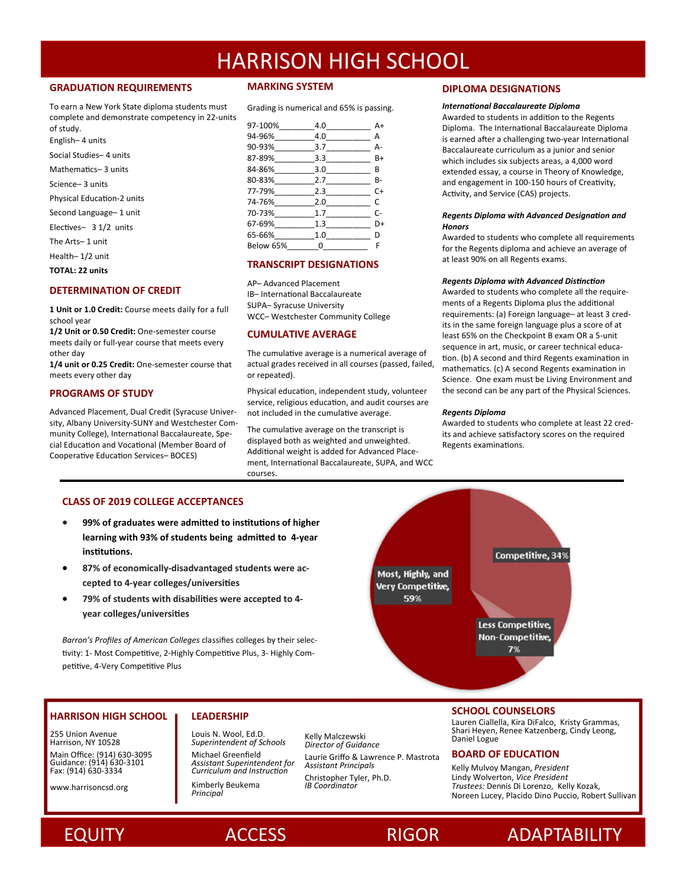### **GRADUATION REQUIREMENTS**

To earn a New York State diploma students must complete and demonstrate competency in 22‐units of study. English– 4 units

Social Studies– 4 units

Mathematics- 3 units

- Science– 3 units
- Physical Education-2 units
- Second Language– 1 unit

Electives- 3 1/2 units

The Arts– 1 unit

Health– 1/2 unit

**TOTAL: 22 units** 

### **DETERMINATION OF CREDIT**

**1 Unit or 1.0 Credit:** Course meets daily for a full school year

**1/2 Unit or 0.50 Credit:** One‐semester course meets daily or full‐year course that meets every other day

**1/4 unit or 0.25 Credit:** One‐semester course that meets every other day

### **PROGRAMS OF STUDY**

Advanced Placement, Dual Credit (Syracuse Univer‐ sity, Albany University‐SUNY and Westchester Com‐ munity College), International Baccalaureate, Special Education and Vocational (Member Board of Cooperative Education Services- BOCES)

### **MARKING SYSTEM**

Grading is numerical and 65% is passing.

| 97-100%        | 4.0      | A+ |
|----------------|----------|----|
| 94-96%         | 4.0      | А  |
| 90-93%________ | 3.7      | А- |
| $87-89\%$      | 3.3      | B+ |
| 84-86%         | 3.0      | B  |
| 80-83%         | 2.7      | B- |
| 77-79%         | 2.3      | C+ |
| 74-76%         | 2.0      | C  |
| 70-73%         | 1.7      | C- |
| 67-69%         | 1.3      | D+ |
| 65-66%         | 1.0      | D  |
| Below 65%      | $\Omega$ | F  |
|                |          |    |

### **TRANSCRIPT DESIGNATIONS**

AP– Advanced Placement IB– InternaƟonal Baccalaureate SUPA– Syracuse University WCC– Westchester Community College

### **CUMULATIVE AVERAGE**

The cumulative average is a numerical average of actual grades received in all courses (passed, failed, or repeated).

Physical education, independent study, volunteer service, religious education, and audit courses are not included in the cumulative average.

The cumulative average on the transcript is displayed both as weighted and unweighted. Additional weight is added for Advanced Placement, International Baccalaureate, SUPA, and WCC courses.

### **DIPLOMA DESIGNATIONS**

#### *InternaƟonal Baccalaureate Diploma*

Awarded to students in addition to the Regents Diploma. The International Baccalaureate Diploma is earned after a challenging two-year International Baccalaureate curriculum as a junior and senior which includes six subjects areas, a 4,000 word extended essay, a course in Theory of Knowledge, and engagement in 100-150 hours of Creativity, Activity, and Service (CAS) projects.

### *Regents Diploma with Advanced DesignaƟon and Honors*

Awarded to students who complete all requirements for the Regents diploma and achieve an average of at least 90% on all Regents exams.

#### *Regents Diploma with Advanced DisƟncƟon*

Awarded to students who complete all the require‐ ments of a Regents Diploma plus the additional requirements: (a) Foreign language– at least 3 cred‐ its in the same foreign language plus a score of at least 65% on the Checkpoint B exam OR a 5‐unit sequence in art, music, or career technical education. (b) A second and third Regents examination in mathematics. (c) A second Regents examination in Science. One exam must be Living Environment and the second can be any part of the Physical Sciences.

### *Regents Diploma*

Awarded to students who complete at least 22 cred‐ its and achieve satisfactory scores on the required Regents examinations.

Competitive, 34%

### **CLASS OF 2019 COLLEGE ACCEPTANCES**

- **99% of graduates were admiƩed to insƟtuƟons of higher learning with 93% of students being admiƩed to 4‐year**   $int$ **institutions.**
- **87% of economically‐disadvantaged students were ac‐ cepted to 4‐year colleges/universiƟes**
- **79% of students with disabiliƟes were accepted to 4‐ year colleges/universiƟes**

*Barron's Profiles of American Colleges* classifies colleges by their selec‐ tivity: 1- Most Competitive, 2-Highly Competitive Plus, 3- Highly Competitive, 4-Very Competitive Plus

## **HARRISON HIGH SCHOOL**

255 Union Avenue Harrison, NY 10528 Main Office: (914) 630‐3095 Guidance: (914) 630‐3101 Fax: (914) 630‐3334

www.harrisoncsd.org

## **LEADERSHIP**

*Principal* 

Louis N. Wool, Ed.D. *Superintendent of Schools*  Michael Greenfield *Assistant Superintendent for Curriculum and InstrucƟon*  Kimberly Beukema

Laurie Griffo & Lawrence P. Mastrota *Assistant Principals*  Christopher Tyler, Ph.D. *IB Coordinator* 

### **SCHOOL COUNSELORS**

Less Competitive. **Non-Competitive** 7%

Lauren Ciallella, Kira DiFalco, Kristy Grammas,<br>Shari Heyen, Renee Katzenberg, Cindy Leong,<br>Director of Guidance **Director of Guidance** *Director of Guidance* 

### **BOARD OF EDUCATION**

Kelly Mulvoy Mangan, *President*  Lindy Wolverton, *Vice President Trustees:* Dennis Di Lorenzo, Kelly Kozak, Noreen Lucey, Placido Dino Puccio, Robert Sullivan





## EQUITY ACCESS RIGOR ADAPTABILITY

Most, Highly, and **Very Competitive,** 59%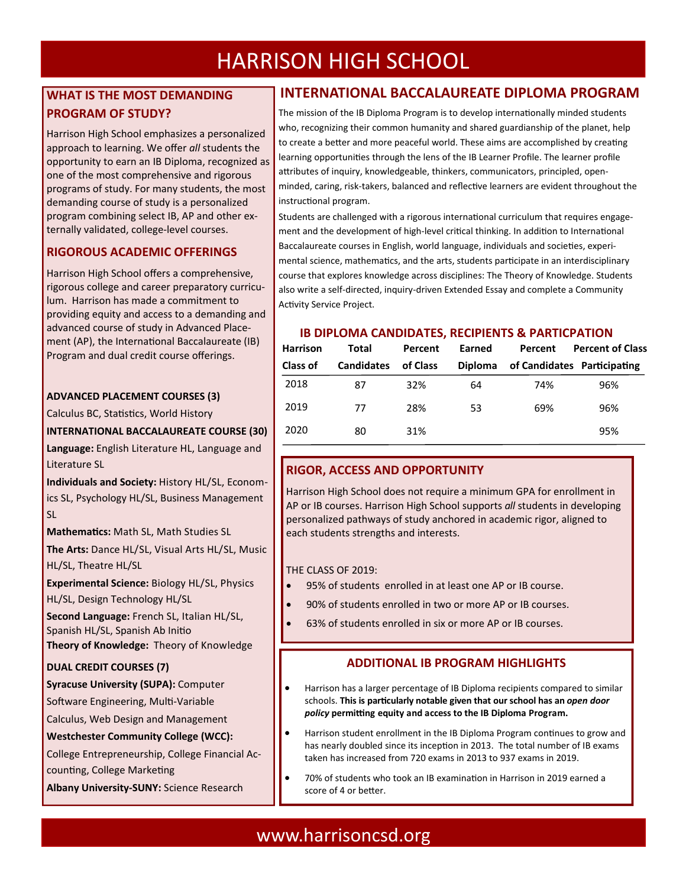## **WHAT IS THE MOST DEMANDING PROGRAM OF STUDY?**

Harrison High School emphasizes a personalized approach to learning. We offer *all* students the opportunity to earn an IB Diploma, recognized as one of the most comprehensive and rigorous programs of study. For many students, the most demanding course of study is a personalized program combining select IB, AP and other ex‐ ternally validated, college‐level courses.

## **RIGOROUS ACADEMIC OFFERINGS**

Harrison High School offers a comprehensive, rigorous college and career preparatory curricu‐ lum. Harrison has made a commitment to providing equity and access to a demanding and advanced course of study in Advanced Place‐ ment (AP), the International Baccalaureate (IB) Program and dual credit course offerings.

## **ADVANCED PLACEMENT COURSES (3)**

Calculus BC, Statistics, World History

## **INTERNATIONAL BACCALAUREATE COURSE (30)**

**Language:** English Literature HL, Language and Literature SL

**Individuals and Society:** History HL/SL, Econom‐ ics SL, Psychology HL/SL, Business Management SL

**MathemaƟcs:** Math SL, Math Studies SL

**The Arts:** Dance HL/SL, Visual Arts HL/SL, Music HL/SL, Theatre HL/SL

**Experimental Science:** Biology HL/SL, Physics HL/SL, Design Technology HL/SL

**Second Language:** French SL, Italian HL/SL, Spanish HL/SL, Spanish Ab Initio **Theory of Knowledge:** Theory of Knowledge

## **DUAL CREDIT COURSES (7)**

## **Syracuse University (SUPA):** Computer

Software Engineering, Multi-Variable

Calculus, Web Design and Management

### **Westchester Community College (WCC):**

College Entrepreneurship, College Financial Ac‐ counting, College Marketing

**Albany University‐SUNY:** Science Research

## **INTERNATIONAL BACCALAUREATE DIPLOMA PROGRAM**

The mission of the IB Diploma Program is to develop internationally minded students who, recognizing their common humanity and shared guardianship of the planet, help to create a better and more peaceful world. These aims are accomplished by creating learning opportunities through the lens of the IB Learner Profile. The learner profile attributes of inquiry, knowledgeable, thinkers, communicators, principled, openminded, caring, risk-takers, balanced and reflective learners are evident throughout the instructional program.

Students are challenged with a rigorous international curriculum that requires engagement and the development of high-level critical thinking. In addition to International Baccalaureate courses in English, world language, individuals and societies, experimental science, mathematics, and the arts, students participate in an interdisciplinary course that explores knowledge across disciplines: The Theory of Knowledge. Students also write a self-directed, inquiry-driven Extended Essay and complete a Community Activity Service Project.

## **IB DIPLOMA CANDIDATES, RECIPIENTS & PARTICPATION**

| <b>Harrison</b> | Total             | Percent  | Earned         | Percent | <b>Percent of Class</b>     |
|-----------------|-------------------|----------|----------------|---------|-----------------------------|
| <b>Class of</b> | <b>Candidates</b> | of Class | <b>Diploma</b> |         | of Candidates Participating |
| 2018            | 87                | 32%      | 64             | 74%     | 96%                         |
| 2019            | 77                | 28%      | 53             | 69%     | 96%                         |
| 2020            | 80                | 31%      |                |         | 95%                         |
|                 |                   |          |                |         |                             |

## **RIGOR, ACCESS AND OPPORTUNITY**

Harrison High School does not require a minimum GPA for enrollment in AP or IB courses. Harrison High School supports *all* students in developing personalized pathways of study anchored in academic rigor, aligned to each students strengths and interests.

## THE CLASS OF 2019:

- 95% of students enrolled in at least one AP or IB course.
- 90% of students enrolled in two or more AP or IB courses.
- 63% of students enrolled in six or more AP or IB courses.

## **ADDITIONAL IB PROGRAM HIGHLIGHTS**

- Harrison has a larger percentage of IB Diploma recipients compared to similar schools. This is particularly notable given that our school has an *open door policy* **permiƫng equity and access to the IB Diploma Program.**
- Harrison student enrollment in the IB Diploma Program continues to grow and has nearly doubled since its inception in 2013. The total number of IB exams taken has increased from 720 exams in 2013 to 937 exams in 2019.
- 70% of students who took an IB examination in Harrison in 2019 earned a score of 4 or better.

## www.harrisoncsd.org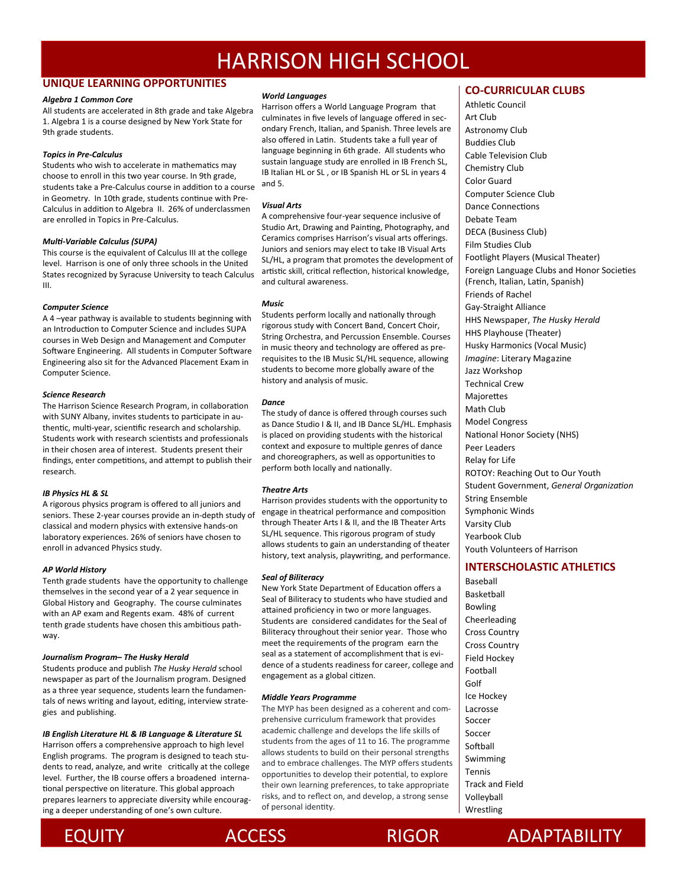### **UNIQUE LEARNING OPPORTUNITIES**

### *Algebra 1 Common Core*

All students are accelerated in 8th grade and take Algebra 1. Algebra 1 is a course designed by New York State for 9th grade students.

### *Topics in Pre‐Calculus*

Students who wish to accelerate in mathematics may choose to enroll in this two year course. In 9th grade, students take a Pre-Calculus course in addition to a course in Geometry. In 10th grade, students continue with Pre-Calculus in addition to Algebra II. 26% of underclassmen are enrolled in Topics in Pre‐Calculus.

### *MulƟ‐Variable Calculus (SUPA)*

This course is the equivalent of Calculus III at the college level. Harrison is one of only three schools in the United States recognized by Syracuse University to teach Calculus III.

### *Computer Science*

A 4 –year pathway is available to students beginning with an Introduction to Computer Science and includes SUPA courses in Web Design and Management and Computer Software Engineering. All students in Computer Software Engineering also sit for the Advanced Placement Exam in Computer Science.

### *Science Research*

The Harrison Science Research Program, in collaboration with SUNY Albany, invites students to participate in authentic, multi-year, scientific research and scholarship. Students work with research scientists and professionals in their chosen area of interest. Students present their findings, enter competitions, and attempt to publish their research.

### *IB Physics HL & SL*

A rigorous physics program is offered to all juniors and seniors. These 2‐year courses provide an in‐depth study of classical and modern physics with extensive hands‐on laboratory experiences. 26% of seniors have chosen to enroll in advanced Physics study.

### *AP World History*

Tenth grade students have the opportunity to challenge themselves in the second year of a 2 year sequence in Global History and Geography. The course culminates with an AP exam and Regents exam. 48% of current tenth grade students have chosen this ambitious pathway.

### *Journalism Program– The Husky Herald*

Students produce and publish *The Husky Herald* school newspaper as part of the Journalism program. Designed as a three year sequence, students learn the fundamen‐ tals of news writing and layout, editing, interview strategies and publishing.

### *IB English Literature HL & IB Language & Literature SL*

Harrison offers a comprehensive approach to high level English programs. The program is designed to teach stu‐ dents to read, analyze, and write critically at the college level. Further, the IB course offers a broadened interna‐ tional perspective on literature. This global approach prepares learners to appreciate diversity while encourag‐ ing a deeper understanding of one's own culture.

### *World Languages*

Harrison offers a World Language Program that culminates in five levels of language offered in secondary French, Italian, and Spanish. Three levels are also offered in Latin. Students take a full year of language beginning in 6th grade. All students who sustain language study are enrolled in IB French SL, IB Italian HL or SL , or IB Spanish HL or SL in years 4 and 5.

### *Visual Arts*

A comprehensive four‐year sequence inclusive of Studio Art, Drawing and Painting, Photography, and Ceramics comprises Harrison's visual arts offerings. Juniors and seniors may elect to take IB Visual Arts SL/HL, a program that promotes the development of artistic skill, critical reflection, historical knowledge, and cultural awareness.

### *Music*

Students perform locally and nationally through rigorous study with Concert Band, Concert Choir, String Orchestra, and Percussion Ensemble. Courses in music theory and technology are offered as pre‐ requisites to the IB Music SL/HL sequence, allowing students to become more globally aware of the history and analysis of music.

### *Dance*

The study of dance is offered through courses such as Dance Studio I & II, and IB Dance SL/HL. Emphasis is placed on providing students with the historical context and exposure to multiple genres of dance and choreographers, as well as opportunities to perform both locally and nationally.

### *Theatre Arts*

Harrison provides students with the opportunity to engage in theatrical performance and composition through Theater Arts I & II, and the IB Theater Arts SL/HL sequence. This rigorous program of study allows students to gain an understanding of theater history, text analysis, playwriting, and performance.

### *Seal of Biliteracy*

New York State Department of Education offers a Seal of Biliteracy to students who have studied and attained proficiency in two or more languages. Students are considered candidates for the Seal of Biliteracy throughout their senior year. Those who meet the requirements of the program earn the seal as a statement of accomplishment that is evi‐ dence of a students readiness for career, college and engagement as a global citizen.

### *Middle Years Programme*

The MYP has been designed as a coherent and com‐ prehensive curriculum framework that provides academic challenge and develops the life skills of students from the ages of 11 to 16. The programme allows students to build on their personal strengths and to embrace challenges. The MYP offers students opportunities to develop their potential, to explore their own learning preferences, to take appropriate risks, and to reflect on, and develop, a strong sense of personal identity.

### **CO‐CURRICULAR CLUBS**

Athletic Council Art Club Astronomy Club Buddies Club Cable Television Club Chemistry Club Color Guard Computer Science Club Dance Connections Debate Team DECA (Business Club) Film Studies Club Footlight Players (Musical Theater) Foreign Language Clubs and Honor Societies (French, Italian, Latin, Spanish) Friends of Rachel Gay‐Straight Alliance HHS Newspaper, *The Husky Herald*  HHS Playhouse (Theater) Husky Harmonics (Vocal Music) *Imagine*: Literary Magazine Jazz Workshop Technical Crew **Majorettes** Math Club Model Congress National Honor Society (NHS) Peer Leaders Relay for Life ROTOY: Reaching Out to Our Youth Student Government, *General OrganizaƟon*  String Ensemble Symphonic Winds Varsity Club Yearbook Club Youth Volunteers of Harrison

### **INTERSCHOLASTIC ATHLETICS**

Baseball Basketball Bowling Cheerleading Cross Country Cross Country Field Hockey Football Golf Ice Hockey Lacrosse Soccer Soccer Softball Swimming Tennis Track and Field Volleyball Wrestling





ACCESS RIGOR ADAPTABILITY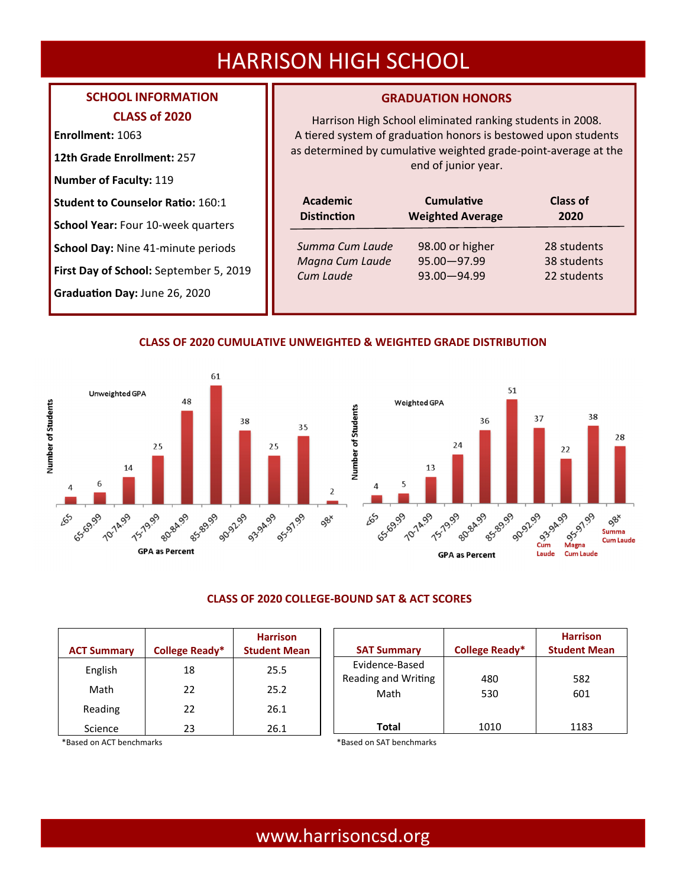## **SCHOOL INFORMATION CLASS of 2020**

**Enrollment:** 1063

**12th Grade Enrollment:** 257

**Number of Faculty:** 119

**Student to Counselor Ratio: 160:1** 

**School Year:** Four 10‐week quarters

**School Day:** Nine 41‐minute periods

**First Day of School:** September 5, 2019

**GraduaƟon Day:** June 26, 2020

## **GRADUATION HONORS**

Harrison High School eliminated ranking students in 2008. A tiered system of graduation honors is bestowed upon students as determined by cumulative weighted grade-point-average at the end of junior year.

| <b>Academic</b><br><b>Distinction</b> | <b>Cumulative</b><br><b>Weighted Average</b> | Class of<br>2020 |  |
|---------------------------------------|----------------------------------------------|------------------|--|
| Summa Cum Laude                       | 98.00 or higher                              | 28 students      |  |
| Magna Cum Laude                       | $95.00 - 97.99$                              | 38 students      |  |
| Cum Laude                             | $93.00 - 94.99$                              | 22 students      |  |
|                                       |                                              |                  |  |

## **CLASS OF 2020 CUMULATIVE UNWEIGHTED & WEIGHTED GRADE DISTRIBUTION**





## **CLASS OF 2020 COLLEGE‐BOUND SAT & ACT SCORES**

| <b>ACT Summary</b> | College Ready* | <b>Harrison</b><br><b>Student Mean</b> | <b>SAT Summary</b>          | <b>College Ready*</b> | <b>Harrison</b><br><b>Student Mean</b> |
|--------------------|----------------|----------------------------------------|-----------------------------|-----------------------|----------------------------------------|
| English            | 18             | 25.5                                   | Evidence-Based              |                       |                                        |
| Math               | 22             | 25.2                                   | Reading and Writing<br>Math | 480<br>530            | 582<br>601                             |
| Reading            | 22             | 26.1                                   |                             |                       |                                        |
| Science            | 23             | 26.1                                   | <b>Total</b>                | 1010                  | 1183                                   |

\*Based on ACT benchmarks \*Based on SAT benchmarks

## www.harrisoncsd.org